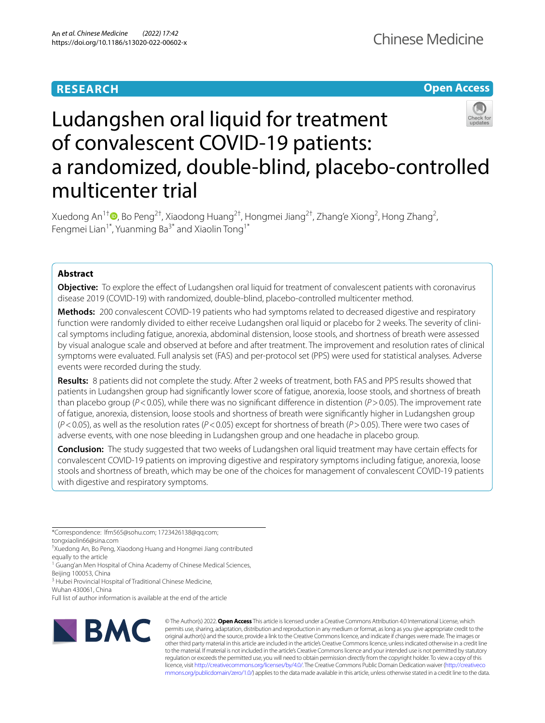# **RESEARCH**

# **Open Access**



# Ludangshen oral liquid for treatment of convalescent COVID-19 patients: a randomized, double-blind, placebo-controlled multicenter trial

Xuedong An $1^{\dagger}$  ( $\blacksquare$ , Bo Peng $^{2\dagger}$ , Xiaodong Huang $^{2\dagger}$ , Hongmei Jiang $^{2\dagger}$ , Zhang'e Xiong $^2$ , Hong Zhang $^2$ , Fengmei Lian<sup>1\*</sup>, Yuanming Ba<sup>3\*</sup> and Xiaolin Tong<sup>1\*</sup>

# **Abstract**

**Objective:** To explore the efect of Ludangshen oral liquid for treatment of convalescent patients with coronavirus disease 2019 (COVID-19) with randomized, double-blind, placebo-controlled multicenter method.

**Methods:** 200 convalescent COVID-19 patients who had symptoms related to decreased digestive and respiratory function were randomly divided to either receive Ludangshen oral liquid or placebo for 2 weeks. The severity of clinical symptoms including fatigue, anorexia, abdominal distension, loose stools, and shortness of breath were assessed by visual analogue scale and observed at before and after treatment. The improvement and resolution rates of clinical symptoms were evaluated. Full analysis set (FAS) and per-protocol set (PPS) were used for statistical analyses. Adverse events were recorded during the study.

**Results:** 8 patients did not complete the study. After 2 weeks of treatment, both FAS and PPS results showed that patients in Ludangshen group had signifcantly lower score of fatigue, anorexia, loose stools, and shortness of breath than placebo group (*P*<0.05), while there was no signifcant diference in distention (*P*>0.05). The improvement rate of fatigue, anorexia, distension, loose stools and shortness of breath were signifcantly higher in Ludangshen group (*P*<0.05), as well as the resolution rates (*P*<0.05) except for shortness of breath (*P*>0.05). There were two cases of adverse events, with one nose bleeding in Ludangshen group and one headache in placebo group.

**Conclusion:** The study suggested that two weeks of Ludangshen oral liquid treatment may have certain efects for convalescent COVID-19 patients on improving digestive and respiratory symptoms including fatigue, anorexia, loose stools and shortness of breath, which may be one of the choices for management of convalescent COVID-19 patients with digestive and respiratory symptoms.

\*Correspondence: lfm565@sohu.com; 1723426138@qq.com;

tongxiaolin66@sina.com

<sup>1</sup> Guang'an Men Hospital of China Academy of Chinese Medical Sciences, Beijing 100053, China

<sup>3</sup> Hubei Provincial Hospital of Traditional Chinese Medicine,

Wuhan 430061, China

Full list of author information is available at the end of the article



© The Author(s) 2022. **Open Access** This article is licensed under a Creative Commons Attribution 4.0 International License, which permits use, sharing, adaptation, distribution and reproduction in any medium or format, as long as you give appropriate credit to the original author(s) and the source, provide a link to the Creative Commons licence, and indicate if changes were made. The images or other third party material in this article are included in the article's Creative Commons licence, unless indicated otherwise in a credit line to the material. If material is not included in the article's Creative Commons licence and your intended use is not permitted by statutory regulation or exceeds the permitted use, you will need to obtain permission directly from the copyright holder. To view a copy of this licence, visit [http://creativecommons.org/licenses/by/4.0/.](http://creativecommons.org/licenses/by/4.0/) The Creative Commons Public Domain Dedication waiver ([http://creativeco](http://creativecommons.org/publicdomain/zero/1.0/) [mmons.org/publicdomain/zero/1.0/](http://creativecommons.org/publicdomain/zero/1.0/)) applies to the data made available in this article, unless otherwise stated in a credit line to the data.

<sup>†</sup> Xuedong An, Bo Peng, Xiaodong Huang and Hongmei Jiang contributed equally to the article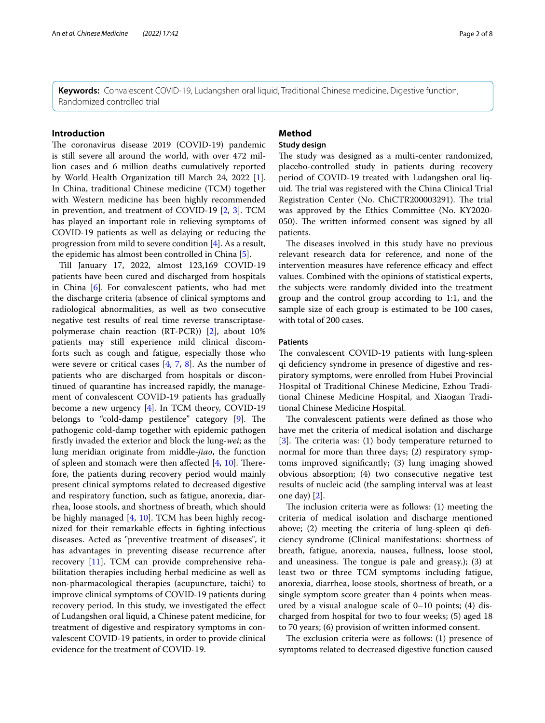**Keywords:** Convalescent COVID-19, Ludangshen oral liquid, Traditional Chinese medicine, Digestive function, Randomized controlled trial

#### **Introduction**

The coronavirus disease 2019 (COVID-19) pandemic is still severe all around the world, with over 472 million cases and 6 million deaths cumulatively reported by World Health Organization till March 24, 2022 [\[1](#page-7-0)]. In China, traditional Chinese medicine (TCM) together with Western medicine has been highly recommended in prevention, and treatment of COVID-19 [\[2,](#page-7-1) [3](#page-7-2)]. TCM has played an important role in relieving symptoms of COVID-19 patients as well as delaying or reducing the progression from mild to severe condition [[4\]](#page-7-3). As a result, the epidemic has almost been controlled in China [[5\]](#page-7-4).

Till January 17, 2022, almost 123,169 COVID-19 patients have been cured and discharged from hospitals in China [\[6](#page-7-5)]. For convalescent patients, who had met the discharge criteria (absence of clinical symptoms and radiological abnormalities, as well as two consecutive negative test results of real time reverse transcriptasepolymerase chain reaction (RT-PCR)) [[2\]](#page-7-1), about 10% patients may still experience mild clinical discomforts such as cough and fatigue, especially those who were severe or critical cases [[4,](#page-7-3) [7](#page-7-6), [8\]](#page-7-7). As the number of patients who are discharged from hospitals or discontinued of quarantine has increased rapidly, the management of convalescent COVID-19 patients has gradually become a new urgency [[4\]](#page-7-3). In TCM theory, COVID-19 belongs to "cold-damp pestilence" category [\[9](#page-7-8)]. The pathogenic cold-damp together with epidemic pathogen frstly invaded the exterior and block the lung*-wei*; as the lung meridian originate from middle-*jiao*, the function of spleen and stomach were then affected  $[4, 10]$  $[4, 10]$  $[4, 10]$  $[4, 10]$ . Therefore, the patients during recovery period would mainly present clinical symptoms related to decreased digestive and respiratory function, such as fatigue, anorexia, diarrhea, loose stools, and shortness of breath, which should be highly managed [[4,](#page-7-3) [10\]](#page-7-9). TCM has been highly recognized for their remarkable efects in fghting infectious diseases. Acted as "preventive treatment of diseases", it has advantages in preventing disease recurrence after recovery [\[11\]](#page-7-10). TCM can provide comprehensive rehabilitation therapies including herbal medicine as well as non-pharmacological therapies (acupuncture, taichi) to improve clinical symptoms of COVID-19 patients during recovery period. In this study, we investigated the efect of Ludangshen oral liquid, a Chinese patent medicine, for treatment of digestive and respiratory symptoms in convalescent COVID-19 patients, in order to provide clinical evidence for the treatment of COVID-19.

# **Method**

# **Study design**

The study was designed as a multi-center randomized, placebo-controlled study in patients during recovery period of COVID-19 treated with Ludangshen oral liquid. The trial was registered with the China Clinical Trial Registration Center (No. ChiCTR200003291). The trial was approved by the Ethics Committee (No. KY2020- 050). The written informed consent was signed by all patients.

The diseases involved in this study have no previous relevant research data for reference, and none of the intervention measures have reference efficacy and effect values. Combined with the opinions of statistical experts, the subjects were randomly divided into the treatment group and the control group according to 1:1, and the sample size of each group is estimated to be 100 cases, with total of 200 cases.

### **Patients**

The convalescent COVID-19 patients with lung-spleen qi defciency syndrome in presence of digestive and respiratory symptoms, were enrolled from Hubei Provincial Hospital of Traditional Chinese Medicine, Ezhou Traditional Chinese Medicine Hospital, and Xiaogan Traditional Chinese Medicine Hospital.

The convalescent patients were defined as those who have met the criteria of medical isolation and discharge [[3\]](#page-7-2). The criteria was:  $(1)$  body temperature returned to normal for more than three days; (2) respiratory symptoms improved signifcantly; (3) lung imaging showed obvious absorption; (4) two consecutive negative test results of nucleic acid (the sampling interval was at least one day) [[2\]](#page-7-1).

The inclusion criteria were as follows:  $(1)$  meeting the criteria of medical isolation and discharge mentioned above; (2) meeting the criteria of lung-spleen qi defciency syndrome (Clinical manifestations: shortness of breath, fatigue, anorexia, nausea, fullness, loose stool, and uneasiness. The tongue is pale and greasy.); (3) at least two or three TCM symptoms including fatigue, anorexia, diarrhea, loose stools, shortness of breath, or a single symptom score greater than 4 points when measured by a visual analogue scale of 0–10 points; (4) discharged from hospital for two to four weeks; (5) aged 18 to 70 years; (6) provision of written informed consent.

The exclusion criteria were as follows:  $(1)$  presence of symptoms related to decreased digestive function caused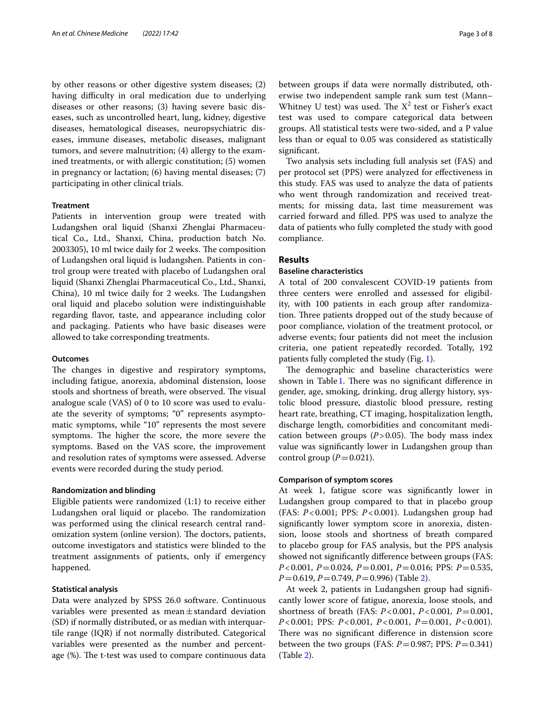by other reasons or other digestive system diseases; (2) having difficulty in oral medication due to underlying diseases or other reasons; (3) having severe basic diseases, such as uncontrolled heart, lung, kidney, digestive diseases, hematological diseases, neuropsychiatric diseases, immune diseases, metabolic diseases, malignant tumors, and severe malnutrition; (4) allergy to the examined treatments, or with allergic constitution; (5) women in pregnancy or lactation; (6) having mental diseases; (7) participating in other clinical trials.

#### **Treatment**

Patients in intervention group were treated with Ludangshen oral liquid (Shanxi Zhenglai Pharmaceutical Co., Ltd., Shanxi, China, production batch No. 2003305), 10 ml twice daily for 2 weeks. The composition of Ludangshen oral liquid is ludangshen. Patients in control group were treated with placebo of Ludangshen oral liquid (Shanxi Zhenglai Pharmaceutical Co., Ltd., Shanxi, China), 10 ml twice daily for 2 weeks. The Ludangshen oral liquid and placebo solution were indistinguishable regarding favor, taste, and appearance including color and packaging. Patients who have basic diseases were allowed to take corresponding treatments.

#### **Outcomes**

The changes in digestive and respiratory symptoms, including fatigue, anorexia, abdominal distension, loose stools and shortness of breath, were observed. The visual analogue scale (VAS) of 0 to 10 score was used to evaluate the severity of symptoms; "0" represents asymptomatic symptoms, while "10" represents the most severe symptoms. The higher the score, the more severe the symptoms. Based on the VAS score, the improvement and resolution rates of symptoms were assessed. Adverse events were recorded during the study period.

#### **Randomization and blinding**

Eligible patients were randomized (1:1) to receive either Ludangshen oral liquid or placebo. The randomization was performed using the clinical research central randomization system (online version). The doctors, patients, outcome investigators and statistics were blinded to the treatment assignments of patients, only if emergency happened.

#### **Statistical analysis**

Data were analyzed by SPSS 26.0 software. Continuous variables were presented as mean $\pm$ standard deviation (SD) if normally distributed, or as median with interquartile range (IQR) if not normally distributed. Categorical variables were presented as the number and percentage  $%$ ). The t-test was used to compare continuous data between groups if data were normally distributed, otherwise two independent sample rank sum test (Mann– Whitney U test) was used. The  $X^2$  test or Fisher's exact test was used to compare categorical data between groups. All statistical tests were two-sided, and a P value less than or equal to 0.05 was considered as statistically signifcant.

Two analysis sets including full analysis set (FAS) and per protocol set (PPS) were analyzed for efectiveness in this study. FAS was used to analyze the data of patients who went through randomization and received treatments; for missing data, last time measurement was carried forward and flled. PPS was used to analyze the data of patients who fully completed the study with good compliance.

## **Results**

#### **Baseline characteristics**

A total of 200 convalescent COVID-19 patients from three centers were enrolled and assessed for eligibility, with 100 patients in each group after randomization. Three patients dropped out of the study because of poor compliance, violation of the treatment protocol, or adverse events; four patients did not meet the inclusion criteria, one patient repeatedly recorded. Totally, 192 patients fully completed the study (Fig. [1](#page-3-0)).

The demographic and baseline characteristics were shown in Table [1.](#page-4-0) There was no significant difference in gender, age, smoking, drinking, drug allergy history, systolic blood pressure, diastolic blood pressure, resting heart rate, breathing, CT imaging, hospitalization length, discharge length, comorbidities and concomitant medication between groups  $(P>0.05)$ . The body mass index value was signifcantly lower in Ludangshen group than control group  $(P=0.021)$ .

#### **Comparison of symptom scores**

At week 1, fatigue score was signifcantly lower in Ludangshen group compared to that in placebo group (FAS: *P*<0.001; PPS: *P*<0.001). Ludangshen group had signifcantly lower symptom score in anorexia, distension, loose stools and shortness of breath compared to placebo group for FAS analysis, but the PPS analysis showed not signifcantly diference between groups (FAS: *P*<0.001, *P*=0.024, *P*=0.001, *P*=0.016; PPS: *P*=0.535, *P*=0.619, *P*=0.749, *P*=0.996) (Table [2\)](#page-5-0).

At week 2, patients in Ludangshen group had signifcantly lower score of fatigue, anorexia, loose stools, and shortness of breath (FAS: *P*<0.001, *P*<0.001*, P*=0.001, *P*<0.001; PPS: *P*<0.001, *P*<0.001, *P*=0.001, *P*<0.001). There was no significant difference in distension score between the two groups (FAS: *P*=0.987; PPS: *P*=0.341) (Table [2\)](#page-5-0).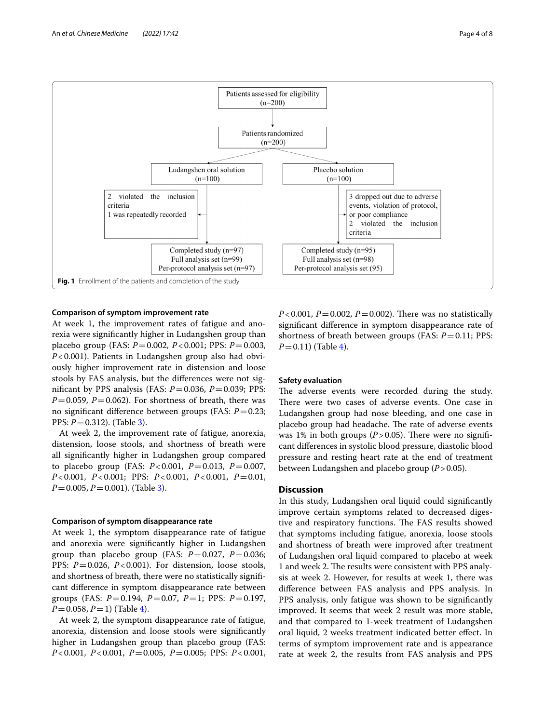

#### <span id="page-3-0"></span>**Comparison of symptom improvement rate**

At week 1, the improvement rates of fatigue and anorexia were signifcantly higher in Ludangshen group than placebo group (FAS: *P*=0.002, *P*<0.001; PPS: *P*=0.003, *P*<0.001). Patients in Ludangshen group also had obviously higher improvement rate in distension and loose stools by FAS analysis, but the diferences were not signifcant by PPS analysis (FAS: *P*=0.036, *P*=0.039; PPS:  $P=0.059$ ,  $P=0.062$ ). For shortness of breath, there was no signifcant diference between groups (FAS: *P*=0.23; PPS: *P*=0.312). (Table [3\)](#page-5-1).

At week 2, the improvement rate of fatigue, anorexia, distension, loose stools, and shortness of breath were all signifcantly higher in Ludangshen group compared to placebo group (FAS: *P*<0.001, *P*=0.013, *P*=0.007, *P*<0.001, *P*<0.001; PPS: *P*<0.001, *P*<0.001, *P*=0.01, *P*=0.005, *P*=0.001). (Table [3\)](#page-5-1).

#### **Comparison of symptom disappearance rate**

At week 1, the symptom disappearance rate of fatigue and anorexia were signifcantly higher in Ludangshen group than placebo group (FAS:  $P=0.027$ ,  $P=0.036$ ; PPS: *P*=0.026, *P*<0.001). For distension, loose stools, and shortness of breath, there were no statistically signifcant diference in symptom disappearance rate between groups (FAS: *P*=0.194, *P*=0.07, *P*=1; PPS: *P*=0.197,  $P=0.058, P=1$ ) (Table [4\)](#page-6-0).

At week 2, the symptom disappearance rate of fatigue, anorexia, distension and loose stools were signifcantly higher in Ludangshen group than placebo group (FAS: *P*<0.001, *P*<0.001, *P*=0.005, *P*=0.005; PPS: *P*<0.001, *P*<0.001, *P*=0.002, *P*=0.002). There was no statistically signifcant diference in symptom disappearance rate of shortness of breath between groups (FAS:  $P=0.11$ ; PPS:  $P = 0.11$ ) (Table [4\)](#page-6-0).

#### **Safety evaluation**

The adverse events were recorded during the study. There were two cases of adverse events. One case in Ludangshen group had nose bleeding, and one case in placebo group had headache. The rate of adverse events was 1% in both groups  $(P>0.05)$ . There were no significant diferences in systolic blood pressure, diastolic blood pressure and resting heart rate at the end of treatment between Ludangshen and placebo group (*P*>0.05).

#### **Discussion**

In this study, Ludangshen oral liquid could signifcantly improve certain symptoms related to decreased digestive and respiratory functions. The FAS results showed that symptoms including fatigue, anorexia, loose stools and shortness of breath were improved after treatment of Ludangshen oral liquid compared to placebo at week 1 and week 2. The results were consistent with PPS analysis at week 2. However, for results at week 1, there was diference between FAS analysis and PPS analysis. In PPS analysis, only fatigue was shown to be signifcantly improved. It seems that week 2 result was more stable, and that compared to 1-week treatment of Ludangshen oral liquid, 2 weeks treatment indicated better effect. In terms of symptom improvement rate and is appearance rate at week 2, the results from FAS analysis and PPS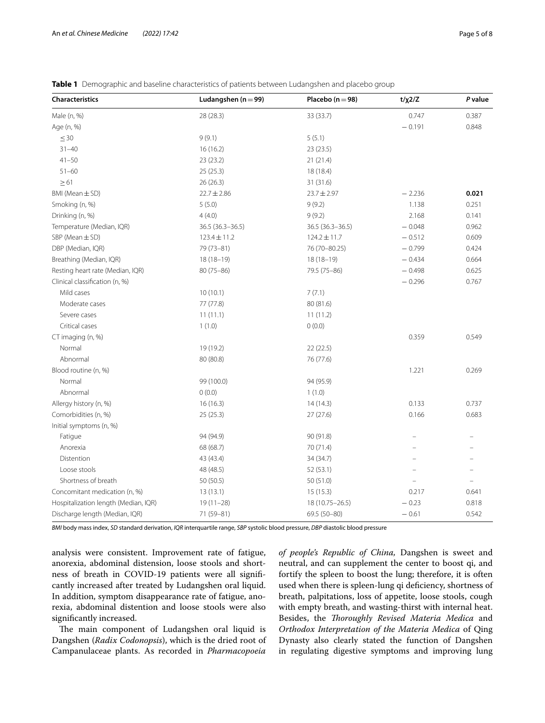| <b>Characteristics</b>               | Ludangshen (n $=$ 99) | Placebo ( $n = 98$ ) | $t/\chi$ 2/Z | P value  |
|--------------------------------------|-----------------------|----------------------|--------------|----------|
| Male (n, %)                          | 28 (28.3)             | 33 (33.7)            | 0.747        | 0.387    |
| Age (n, %)                           |                       |                      | $-0.191$     | 0.848    |
| $\leq 30$                            | 9(9.1)                | 5(5.1)               |              |          |
| $31 - 40$                            | 16(16.2)              | 23(23.5)             |              |          |
| $41 - 50$                            | 23 (23.2)             | 21(21.4)             |              |          |
| $51 - 60$                            | 25(25.3)              | 18 (18.4)            |              |          |
| $\geq 61$                            | 26 (26.3)             | 31 (31.6)            |              |          |
| $BMI$ (Mean $\pm$ SD)                | $22.7 \pm 2.86$       | $23.7 \pm 2.97$      | $-2.236$     | 0.021    |
| Smoking (n, %)                       | 5(5.0)                | 9(9.2)               | 1.138        | 0.251    |
| Drinking (n, %)                      | 4(4.0)                | 9(9.2)               | 2.168        | 0.141    |
| Temperature (Median, IQR)            | 36.5 (36.3-36.5)      | 36.5 (36.3-36.5)     | $-0.048$     | 0.962    |
| $SBP$ (Mean $\pm SD$ )               | $123.4 \pm 11.2$      | $124.2 \pm 11.7$     | $-0.512$     | 0.609    |
| DBP (Median, IQR)                    | 79 (73-81)            | 76 (70-80.25)        | $-0.799$     | 0.424    |
| Breathing (Median, IQR)              | $18(18-19)$           | $18(18-19)$          | $-0.434$     | 0.664    |
| Resting heart rate (Median, IQR)     | $80(75 - 86)$         | 79.5 (75-86)         | $-0.498$     | 0.625    |
| Clinical classification (n, %)       |                       |                      | $-0.296$     | 0.767    |
| Mild cases                           | 10(10.1)              | 7(7.1)               |              |          |
| Moderate cases                       | 77 (77.8)             | 80 (81.6)            |              |          |
| Severe cases                         | 11(11.1)              | 11(11.2)             |              |          |
| Critical cases                       | 1(1.0)                | 0(0.0)               |              |          |
| CT imaging (n, %)                    |                       |                      | 0.359        | 0.549    |
| Normal                               | 19 (19.2)             | 22(22.5)             |              |          |
| Abnormal                             | 80 (80.8)             | 76 (77.6)            |              |          |
| Blood routine (n, %)                 |                       |                      | 1.221        | 0.269    |
| Normal                               | 99 (100.0)            | 94 (95.9)            |              |          |
| Abnormal                             | 0(0.0)                | 1(1.0)               |              |          |
| Allergy history (n, %)               | 16(16.3)              | 14(14.3)             | 0.133        | 0.737    |
| Comorbidities (n, %)                 | 25(25.3)              | 27(27.6)             | 0.166        | 0.683    |
| Initial symptoms (n, %)              |                       |                      |              |          |
| Fatigue                              | 94 (94.9)             | 90 (91.8)            |              |          |
| Anorexia                             | 68 (68.7)             | 70 (71.4)            |              |          |
| Distention                           | 43 (43.4)             | 34 (34.7)            |              |          |
| Loose stools                         | 48 (48.5)             | 52 (53.1)            |              |          |
| Shortness of breath                  | 50 (50.5)             | 50 (51.0)            |              | $\equiv$ |
| Concomitant medication (n, %)        | 13(13.1)              | 15(15.3)             | 0.217        | 0.641    |
| Hospitalization length (Median, IQR) | $19(11-28)$           | 18 (10.75 - 26.5)    | $-0.23$      | 0.818    |
| Discharge length (Median, IQR)       | 71 (59-81)            | 69.5 (50-80)         | $-0.61$      | 0.542    |

<span id="page-4-0"></span>**Table 1** Demographic and baseline characteristics of patients between Ludangshen and placebo group

*BMI* body mass index, *SD* standard derivation, *IQR* interquartile range, *SBP* systolic blood pressure, *DBP* diastolic blood pressure

analysis were consistent. Improvement rate of fatigue, anorexia, abdominal distension, loose stools and shortness of breath in COVID-19 patients were all signifcantly increased after treated by Ludangshen oral liquid. In addition, symptom disappearance rate of fatigue, anorexia, abdominal distention and loose stools were also signifcantly increased.

The main component of Ludangshen oral liquid is Dangshen (*Radix Codonopsis*), which is the dried root of Campanulaceae plants. As recorded in *Pharmacopoeia*  *of people's Republic of China,* Dangshen is sweet and neutral, and can supplement the center to boost qi, and fortify the spleen to boost the lung; therefore, it is often used when there is spleen-lung qi defciency, shortness of breath, palpitations, loss of appetite, loose stools, cough with empty breath, and wasting-thirst with internal heat. Besides, the *Toroughly Revised Materia Medica* and *Orthodox Interpretation of the Materia Medica* of Qing Dynasty also clearly stated the function of Dangshen in regulating digestive symptoms and improving lung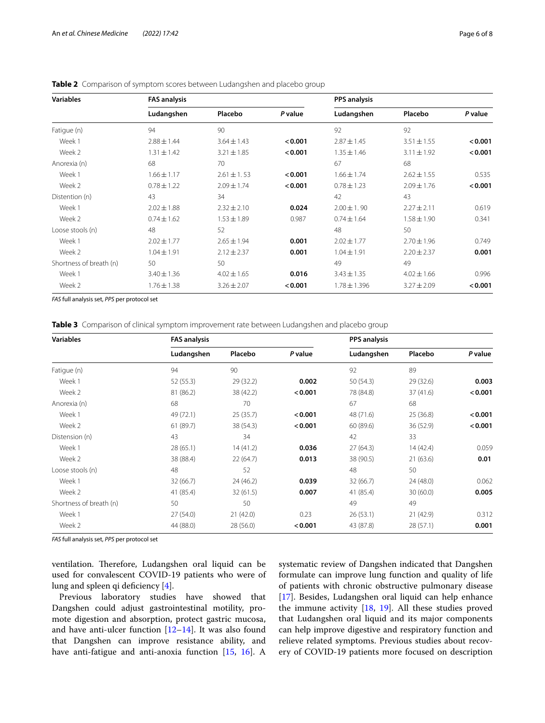| <b>Variables</b>        | <b>FAS analysis</b> |                 |         | <b>PPS analysis</b> |                 |         |  |
|-------------------------|---------------------|-----------------|---------|---------------------|-----------------|---------|--|
|                         | Ludangshen          | Placebo         | P value | Ludangshen          | Placebo         | P value |  |
| Fatigue (n)             | 94                  | 90              |         | 92                  | 92              |         |  |
| Week 1                  | $2.88 \pm 1.44$     | $3.64 \pm 1.43$ | < 0.001 | $2.87 \pm 1.45$     | $3.51 \pm 1.55$ | < 0.001 |  |
| Week 2                  | $1.31 \pm 1.42$     | $3.21 \pm 1.85$ | < 0.001 | $1.35 \pm 1.46$     | $3.11 \pm 1.92$ | < 0.001 |  |
| Anorexia (n)            | 68                  | 70              |         | 67                  | 68              |         |  |
| Week 1                  | $1.66 \pm 1.17$     | $2.61 \pm 1.53$ | < 0.001 | $1.66 \pm 1.74$     | $2.62 \pm 1.55$ | 0.535   |  |
| Week 2                  | $0.78 \pm 1.22$     | $2.09 \pm 1.74$ | < 0.001 | $0.78 \pm 1.23$     | $2.09 \pm 1.76$ | < 0.001 |  |
| Distention (n)          | 43                  | 34              |         | 42                  | 43              |         |  |
| Week 1                  | $2.02 \pm 1.88$     | $2.32 \pm 2.10$ | 0.024   | $2.00 \pm 1.90$     | $2.27 \pm 2.11$ | 0.619   |  |
| Week 2                  | $0.74 \pm 1.62$     | $1.53 \pm 1.89$ | 0.987   | $0.74 \pm 1.64$     | $1.58 \pm 1.90$ | 0.341   |  |
| Loose stools (n)        | 48                  | 52              |         | 48                  | 50              |         |  |
| Week 1                  | $2.02 \pm 1.77$     | $2.65 \pm 1.94$ | 0.001   | $2.02 \pm 1.77$     | $2.70 \pm 1.96$ | 0.749   |  |
| Week 2                  | $1.04 \pm 1.91$     | $2.12 \pm 2.37$ | 0.001   | $1.04 \pm 1.91$     | $2.20 \pm 2.37$ | 0.001   |  |
| Shortness of breath (n) | 50                  | 50              |         | 49                  | 49              |         |  |
| Week 1                  | $3.40 \pm 1.36$     | $4.02 \pm 1.65$ | 0.016   | $3.43 \pm 1.35$     | $4.02 \pm 1.66$ | 0.996   |  |
| Week 2                  | $1.76 \pm 1.38$     | $3.26 \pm 2.07$ | < 0.001 | $1.78 \pm 1.396$    | $3.27 \pm 2.09$ | < 0.001 |  |

<span id="page-5-0"></span>**Table 2** Comparison of symptom scores between Ludangshen and placebo group

*FAS* full analysis set, *PPS* per protocol set

<span id="page-5-1"></span>**Table 3** Comparison of clinical symptom improvement rate between Ludangshen and placebo group

| <b>Variables</b>        | <b>FAS analysis</b> |           | <b>PPS analysis</b> |            |           |         |
|-------------------------|---------------------|-----------|---------------------|------------|-----------|---------|
|                         | Ludangshen          | Placebo   | P value             | Ludangshen | Placebo   | P value |
| Fatigue (n)             | 94                  | 90        |                     | 92         | 89        |         |
| Week 1                  | 52 (55.3)           | 29 (32.2) | 0.002               | 50 (54.3)  | 29 (32.6) | 0.003   |
| Week 2                  | 81 (86.2)           | 38 (42.2) | < 0.001             | 78 (84.8)  | 37(41.6)  | < 0.001 |
| Anorexia (n)            | 68                  | 70        |                     | 67         | 68        |         |
| Week 1                  | 49 (72.1)           | 25(35.7)  | < 0.001             | 48 (71.6)  | 25 (36.8) | < 0.001 |
| Week 2                  | 61 (89.7)           | 38 (54.3) | < 0.001             | 60 (89.6)  | 36 (52.9) | < 0.001 |
| Distension (n)          | 43                  | 34        |                     | 42         | 33        |         |
| Week 1                  | 28(65.1)            | 14(41.2)  | 0.036               | 27(64.3)   | 14(42.4)  | 0.059   |
| Week 2                  | 38 (88.4)           | 22(64.7)  | 0.013               | 38 (90.5)  | 21(63.6)  | 0.01    |
| Loose stools (n)        | 48                  | 52        |                     | 48         | 50        |         |
| Week 1                  | 32 (66.7)           | 24 (46.2) | 0.039               | 32(66.7)   | 24 (48.0) | 0.062   |
| Week 2                  | 41 (85.4)           | 32(61.5)  | 0.007               | 41 (85.4)  | 30(60.0)  | 0.005   |
| Shortness of breath (n) | 50                  | 50        |                     | 49         | 49        |         |
| Week 1                  | 27(54.0)            | 21(42.0)  | 0.23                | 26(53.1)   | 21(42.9)  | 0.312   |
| Week 2                  | 44 (88.0)           | 28 (56.0) | < 0.001             | 43 (87.8)  | 28 (57.1) | 0.001   |

*FAS* full analysis set, *PPS* per protocol set

ventilation. Therefore, Ludangshen oral liquid can be used for convalescent COVID-19 patients who were of lung and spleen qi deficiency [[4\]](#page-7-3).

Previous laboratory studies have showed that Dangshen could adjust gastrointestinal motility, promote digestion and absorption, protect gastric mucosa, and have anti-ulcer function [\[12–](#page-7-11)[14\]](#page-7-12). It was also found that Dangshen can improve resistance ability, and have anti-fatigue and anti-anoxia function [\[15](#page-7-13), [16](#page-7-14)]. A

systematic review of Dangshen indicated that Dangshen formulate can improve lung function and quality of life of patients with chronic obstructive pulmonary disease [[17\]](#page-7-15). Besides, Ludangshen oral liquid can help enhance the immune activity [\[18](#page-7-16), [19\]](#page-7-17). All these studies proved that Ludangshen oral liquid and its major components can help improve digestive and respiratory function and relieve related symptoms. Previous studies about recovery of COVID-19 patients more focused on description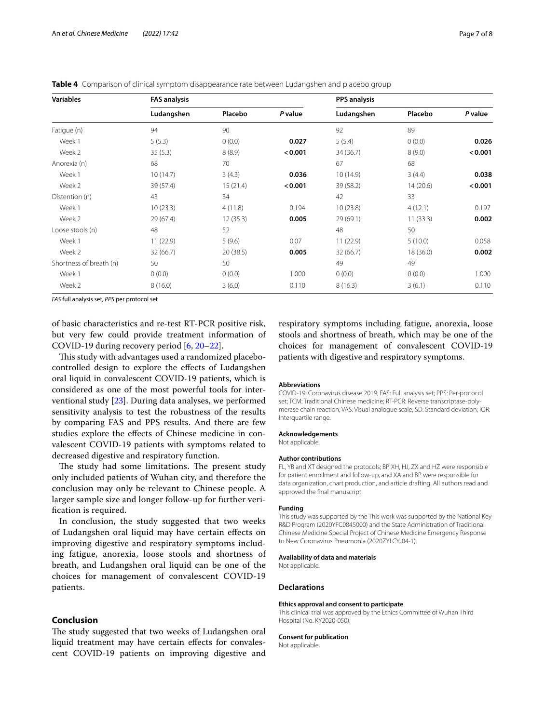<span id="page-6-0"></span>

|  |  |  | Table 4 Comparison of clinical symptom disappearance rate between Ludangshen and placebo group |  |
|--|--|--|------------------------------------------------------------------------------------------------|--|
|  |  |  |                                                                                                |  |

| <b>Variables</b>        | <b>FAS analysis</b> |          |         | <b>PPS analysis</b> |          |         |
|-------------------------|---------------------|----------|---------|---------------------|----------|---------|
|                         | Ludangshen          | Placebo  | P value | Ludangshen          | Placebo  | P value |
| Fatigue (n)             | 94                  | 90       |         | 92                  | 89       |         |
| Week 1                  | 5(5.3)              | 0(0.0)   | 0.027   | 5(5.4)              | 0(0.0)   | 0.026   |
| Week 2                  | 35(5.3)             | 8(8.9)   | < 0.001 | 34 (36.7)           | 8(9.0)   | < 0.001 |
| Anorexia (n)            | 68                  | 70       |         | 67                  | 68       |         |
| Week 1                  | 10(14.7)            | 3(4.3)   | 0.036   | 10(14.9)            | 3(4.4)   | 0.038   |
| Week 2                  | 39 (57.4)           | 15(21.4) | < 0.001 | 39 (58.2)           | 14(20.6) | < 0.001 |
| Distention (n)          | 43                  | 34       |         | 42                  | 33       |         |
| Week 1                  | 10(23.3)            | 4(11.8)  | 0.194   | 10(23.8)            | 4(12.1)  | 0.197   |
| Week 2                  | 29 (67.4)           | 12(35.3) | 0.005   | 29 (69.1)           | 11(33.3) | 0.002   |
| Loose stools (n)        | 48                  | 52       |         | 48                  | 50       |         |
| Week 1                  | 11(22.9)            | 5(9.6)   | 0.07    | 11(22.9)            | 5(10.0)  | 0.058   |
| Week 2                  | 32 (66.7)           | 20(38.5) | 0.005   | 32 (66.7)           | 18(36.0) | 0.002   |
| Shortness of breath (n) | 50                  | 50       |         | 49                  | 49       |         |
| Week 1                  | 0(0.0)              | 0(0.0)   | 1.000   | 0(0.0)              | 0(0.0)   | 1.000   |
| Week 2                  | 8(16.0)             | 3(6.0)   | 0.110   | 8(16.3)             | 3(6.1)   | 0.110   |

*FAS* full analysis set, *PPS* per protocol set

of basic characteristics and re-test RT-PCR positive risk, but very few could provide treatment information of COVID-19 during recovery period [[6,](#page-7-5) [20](#page-7-18)[–22\]](#page-7-19).

This study with advantages used a randomized placebocontrolled design to explore the efects of Ludangshen oral liquid in convalescent COVID-19 patients, which is considered as one of the most powerful tools for interventional study [[23\]](#page-7-20). During data analyses, we performed sensitivity analysis to test the robustness of the results by comparing FAS and PPS results. And there are few studies explore the efects of Chinese medicine in convalescent COVID-19 patients with symptoms related to decreased digestive and respiratory function.

The study had some limitations. The present study only included patients of Wuhan city, and therefore the conclusion may only be relevant to Chinese people. A larger sample size and longer follow-up for further verifcation is required.

In conclusion, the study suggested that two weeks of Ludangshen oral liquid may have certain efects on improving digestive and respiratory symptoms including fatigue, anorexia, loose stools and shortness of breath, and Ludangshen oral liquid can be one of the choices for management of convalescent COVID-19 patients.

#### **Conclusion**

The study suggested that two weeks of Ludangshen oral liquid treatment may have certain efects for convalescent COVID-19 patients on improving digestive and

respiratory symptoms including fatigue, anorexia, loose stools and shortness of breath, which may be one of the choices for management of convalescent COVID-19 patients with digestive and respiratory symptoms.

#### **Abbreviations**

COVID-19: Coronavirus disease 2019; FAS: Full analysis set; PPS: Per-protocol set; TCM: Traditional Chinese medicine; RT-PCR: Reverse transcriptase-polymerase chain reaction; VAS: Visual analogue scale; SD: Standard deviation; IQR: Interquartile range.

#### **Acknowledgements**

Not applicable.

#### **Author contributions**

FL, YB and XT designed the protocols; BP, XH, HJ, ZX and HZ were responsible for patient enrollment and follow-up, and XA and BP were responsible for data organization, chart production, and article drafting. All authors read and approved the fnal manuscript.

#### **Funding**

This study was supported by the This work was supported by the National Key R&D Program (2020YFC0845000) and the State Administration of Traditional Chinese Medicine Special Project of Chinese Medicine Emergency Response to New Coronavirus Pneumonia (2020ZYLCYJ04-1).

#### **Availability of data and materials**

Not applicable.

#### **Declarations**

#### **Ethics approval and consent to participate**

This clinical trial was approved by the Ethics Committee of Wuhan Third Hospital (No. KY2020-050).

#### **Consent for publication**

Not applicable.